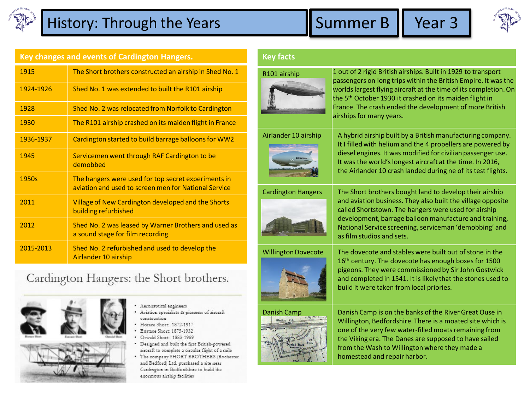

## History: Through the Years **Summer B** Year 3





**Key changes and events of Cardington Hangers.**  1915 The Short brothers constructed an airship in Shed No. 1 1924-1926 Shed No. 1 was extended to built the R101 airship 1928 Shed No. 2 was relocated from Norfolk to Cardington 1930 The R101 airship crashed on its maiden flight in France 1936-1937 Cardington started to build barrage balloons for WW2 1945 Servicemen went through RAF Cardington to be demobbed 1950s The hangers were used for top secret experiments in aviation and used to screen men for National Service 2011 Village of New Cardington developed and the Shorts building refurbished 2012 Shed No. 2 was leased by Warner Brothers and used as a sound stage for film recording 2015-2013 Shed No. 2 refurbished and used to develop the Airlander 10 airship

## Cardington Hangers: the Short brothers.



- 
- 
- · Aeronautical engineers
- · Aviation specialists & pioneers of aircraft construction
- Horace Short: 1872-1917
- Eustace Short: 1875-1932
- Oswald Short: 1883-1969 Designed and built the first British-powered aircraft to complete a circular flight of a mile
- The company SHORT BROTHERS (Rochester and Bedford) Ltd. purchased a site near Cardington in Bedfordshire to build the enormous airship facilities

## **Key facts**





the 5<sup>th</sup> October 1930 it crashed on its maiden flight in France. The crash ended the development of more British airships for many years. Airlander 10 airship  $\parallel$  A hybrid airship built by a British manufacturing company. It I filled with helium and the 4 propellers are powered by diesel engines. It was modified for civilian passenger use.

passengers on long trips within the British Empire. It was the worlds largest flying aircraft at the time of its completion. On

It was the world's longest aircraft at the time. In 2016, the Airlander 10 crash landed during ne of its test flights.



Cardington Hangers The Short brothers bought land to develop their airship and aviation business. They also built the village opposite called Shortstown. The hangers were used for airship development, barrage balloon manufacture and training, National Service screening, serviceman 'demobbing' and as film studios and sets.



Willington Dovecote The dovecote and stables were built out of stone in the 16<sup>th</sup> century. The dovecote has enough boxes for 1500 pigeons. They were commissioned by Sir John Gostwick and completed in 1541. It is likely that the stones used to build it were taken from local priories.



Danish Camp Danish Camp is on the banks of the River Great Ouse in Willington, Bedfordshire. There is a moated site which is one of the very few water-filled moats remaining from the Viking era. The Danes are supposed to have sailed from the Wash to Willington where they made a homestead and repair harbor.